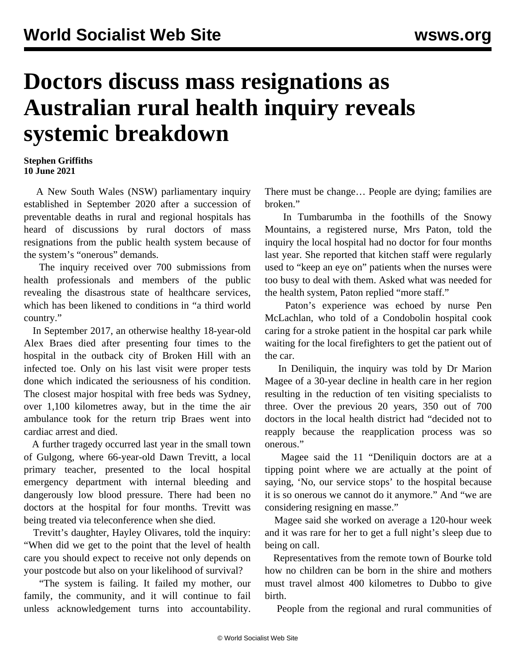## **Doctors discuss mass resignations as Australian rural health inquiry reveals systemic breakdown**

## **Stephen Griffiths 10 June 2021**

 A New South Wales (NSW) parliamentary inquiry established in September 2020 after a succession of preventable deaths in rural and regional hospitals has heard of discussions by rural doctors of mass resignations from the public health system because of the system's "onerous" demands.

 The inquiry received over 700 submissions from health professionals and members of the public revealing the disastrous state of healthcare services, which has been likened to conditions in "a third world country."

 In September 2017, an otherwise healthy 18-year-old Alex Braes died after presenting four times to the hospital in the outback city of Broken Hill with an infected toe. Only on his last visit were proper tests done which indicated the seriousness of his condition. The closest major hospital with free beds was Sydney, over 1,100 kilometres away, but in the time the air ambulance took for the return trip Braes went into cardiac arrest and died.

 A further tragedy occurred last year in the small town of Gulgong, where 66-year-old Dawn Trevitt, a local primary teacher, presented to the local hospital emergency department with internal bleeding and dangerously low blood pressure. There had been no doctors at the hospital for four months. Trevitt was being treated via teleconference when she died.

 Trevitt's daughter, Hayley Olivares, told the inquiry: "When did we get to the point that the level of health care you should expect to receive not only depends on your postcode but also on your likelihood of survival?

 "The system is failing. It failed my mother, our family, the community, and it will continue to fail unless acknowledgement turns into accountability.

There must be change… People are dying; families are broken."

 In Tumbarumba in the foothills of the Snowy Mountains, a registered nurse, Mrs Paton, told the inquiry the local hospital had no doctor for four months last year. She reported that kitchen staff were regularly used to "keep an eye on" patients when the nurses were too busy to deal with them. Asked what was needed for the health system, Paton replied "more staff."

 Paton's experience was echoed by nurse Pen McLachlan, who told of a Condobolin hospital cook caring for a stroke patient in the hospital car park while waiting for the local firefighters to get the patient out of the car.

 In Deniliquin, the inquiry was told by Dr Marion Magee of a 30-year decline in health care in her region resulting in the reduction of ten visiting specialists to three. Over the previous 20 years, 350 out of 700 doctors in the local health district had "decided not to reapply because the reapplication process was so onerous."

 Magee said the 11 "Deniliquin doctors are at a tipping point where we are actually at the point of saying, 'No, our service stops' to the hospital because it is so onerous we cannot do it anymore." And "we are considering resigning en masse."

 Magee said she worked on average a 120-hour week and it was rare for her to get a full night's sleep due to being on call.

 Representatives from the remote town of Bourke told how no children can be born in the shire and mothers must travel almost 400 kilometres to Dubbo to give birth.

People from the regional and rural communities of